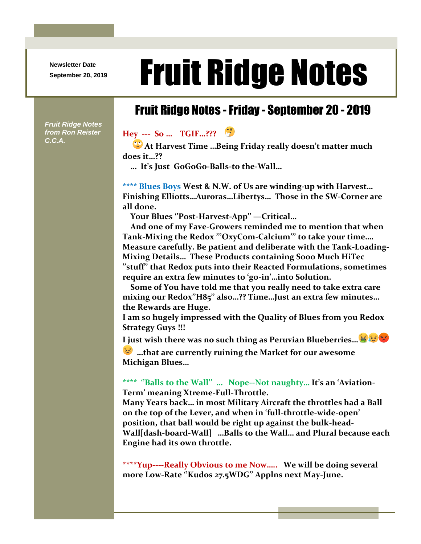**Newsletter Date**

## Newsletter Date **Fruit Ridge Notes**

## Fruit Ridge Notes -Friday - September 20 - 2019

*Fruit Ridge Notes from Ron Reister C.C.A.*

## **Hey --- So … TGIF…???**

 **At Harvest Time …Being Friday really doesn't matter much does it…??**

 **… It's Just GoGoGo-Balls-to the-Wall…**

**\*\*\*\* Blues Boys West & N.W. of Us are winding-up with Harvest… Finishing Elliotts…Auroras…Libertys… Those in the SW-Corner are all done.**

 **Your Blues ''Post-Harvest-App'' —Critical…** 

 **And one of my Fave-Growers reminded me to mention that when Tank-Mixing the Redox '''OxyCom-Calcium''' to take your time…. Measure carefully. Be patient and deliberate with the Tank-Loading-Mixing Details… These Products containing Sooo Much HiTec ''stuff'' that Redox puts into their Reacted Formulations, sometimes require an extra few minutes to 'go-in'…into Solution.** 

 **Some of You have told me that you really need to take extra care mixing our Redox''H85'' also…?? Time…Just an extra few minutes… the Rewards are Huge.**

**I am so hugely impressed with the Quality of Blues from you Redox Strategy Guys !!!**

**I just wish there was no such thing as Peruvian Blueberries…**

**…that are currently ruining the Market for our awesome Michigan Blues…**

## **\*\*\*\* ''Balls to the Wall'' … Nope--Not naughty… It's an 'Aviation-Term' meaning Xtreme-Full-Throttle.**

**Many Years back… in most Military Aircraft the throttles had a Ball on the top of the Lever, and when in 'full-throttle-wide-open' position, that ball would be right up against the bulk-head-Wall[dash-board-Wall] …Balls to the Wall… and Plural because each Engine had its own throttle.**

**\*\*\*\*Yup----Really Obvious to me Now….. We will be doing several more Low-Rate ''Kudos 27.5WDG'' Applns next May-June.**